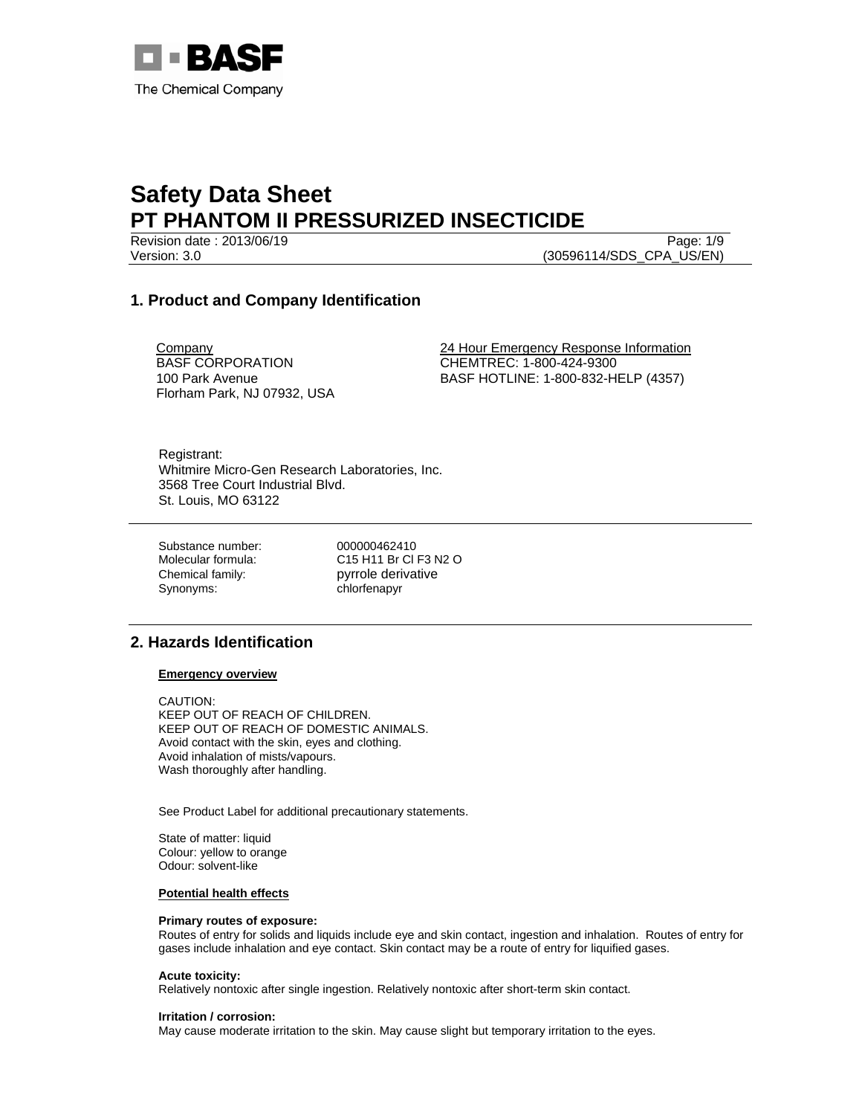

Version: 3.0 (30596114/SDS\_CPA\_US/EN)

Revision date : 2013/06/19 Page: 1/9

# **1. Product and Company Identification**

**Company** BASF CORPORATION 100 Park Avenue Florham Park, NJ 07932, USA 24 Hour Emergency Response Information CHEMTREC: 1-800-424-9300 BASF HOTLINE: 1-800-832-HELP (4357)

Registrant: Whitmire Micro-Gen Research Laboratories, Inc. 3568 Tree Court Industrial Blvd. St. Louis, MO 63122

Substance number: 000000462410 Chemical family: pyrrole derivative Synonyms: chlorfenapyr

Molecular formula: C15 H11 Br Cl F3 N2 O

# **2. Hazards Identification**

## **Emergency overview**

CAUTION: KEEP OUT OF REACH OF CHILDREN. KEEP OUT OF REACH OF DOMESTIC ANIMALS. Avoid contact with the skin, eyes and clothing. Avoid inhalation of mists/vapours. Wash thoroughly after handling.

See Product Label for additional precautionary statements.

State of matter: liquid Colour: yellow to orange Odour: solvent-like

#### **Potential health effects**

## **Primary routes of exposure:**

Routes of entry for solids and liquids include eye and skin contact, ingestion and inhalation. Routes of entry for gases include inhalation and eye contact. Skin contact may be a route of entry for liquified gases.

#### **Acute toxicity:**

Relatively nontoxic after single ingestion. Relatively nontoxic after short-term skin contact.

#### **Irritation / corrosion:**

May cause moderate irritation to the skin. May cause slight but temporary irritation to the eyes.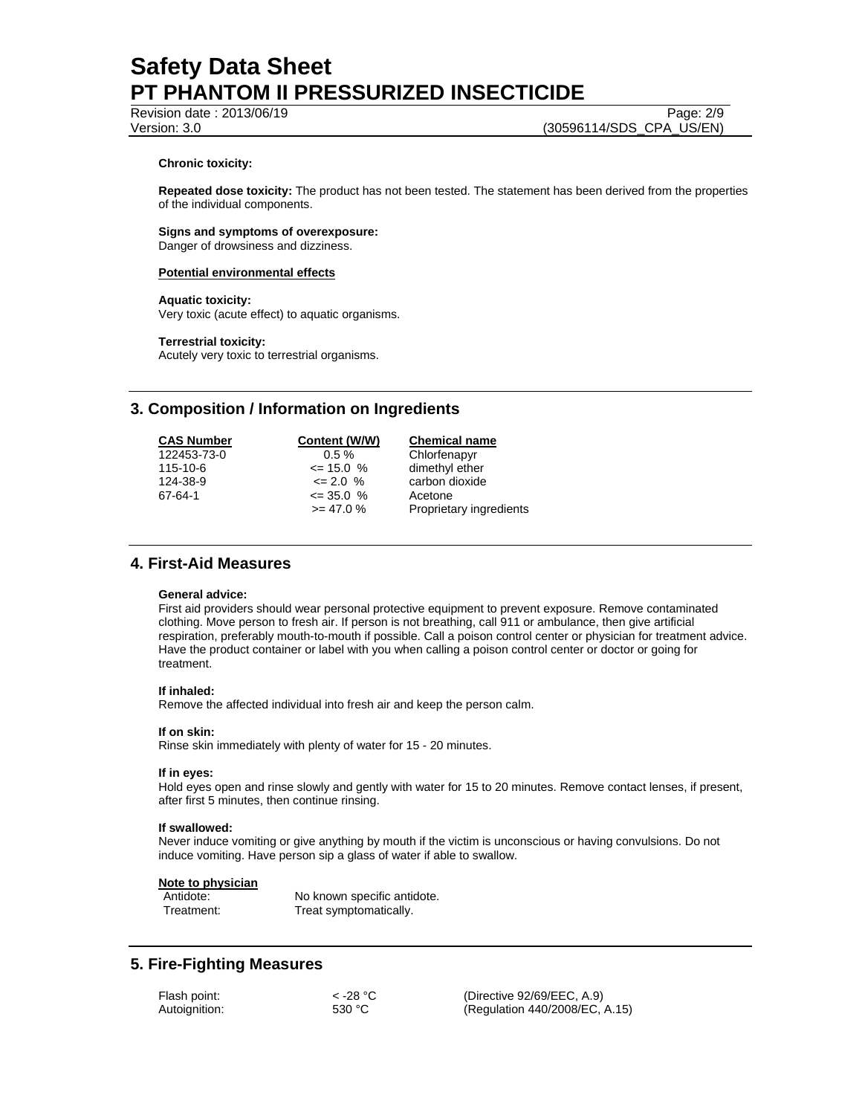# Revision date : 2013/06/19 Page: 2/9

Version: 3.0 (30596114/SDS\_CPA\_US/EN)

## **Chronic toxicity:**

**Repeated dose toxicity:** The product has not been tested. The statement has been derived from the properties of the individual components.

#### **Signs and symptoms of overexposure:**  Danger of drowsiness and dizziness.

# **Potential environmental effects**

## **Aquatic toxicity:**

Very toxic (acute effect) to aquatic organisms.

## **Terrestrial toxicity:**

Acutely very toxic to terrestrial organisms.

# **3. Composition / Information on Ingredients**

| <b>CAS Number</b> | Content (W/W) | <b>Chemical name</b>    |
|-------------------|---------------|-------------------------|
| 122453-73-0       | $0.5 \%$      | Chlorfenapyr            |
| $115 - 10 - 6$    | $\leq$ 15.0 % | dimethyl ether          |
| 124-38-9          | $\leq$ 2.0 %  | carbon dioxide          |
| 67-64-1           | $\leq$ 35.0 % | Acetone                 |
|                   | $\ge$ 47.0 %  | Proprietary ingredients |

# **4. First-Aid Measures**

## **General advice:**

First aid providers should wear personal protective equipment to prevent exposure. Remove contaminated clothing. Move person to fresh air. If person is not breathing, call 911 or ambulance, then give artificial respiration, preferably mouth-to-mouth if possible. Call a poison control center or physician for treatment advice. Have the product container or label with you when calling a poison control center or doctor or going for treatment.

## **If inhaled:**

Remove the affected individual into fresh air and keep the person calm.

## **If on skin:**

Rinse skin immediately with plenty of water for 15 - 20 minutes.

## **If in eyes:**

Hold eyes open and rinse slowly and gently with water for 15 to 20 minutes. Remove contact lenses, if present, after first 5 minutes, then continue rinsing.

## **If swallowed:**

Never induce vomiting or give anything by mouth if the victim is unconscious or having convulsions. Do not induce vomiting. Have person sip a glass of water if able to swallow.

# **Note to physician**

No known specific antidote. Treatment: Treat symptomatically.

# **5. Fire-Fighting Measures**

| Flash point:  |  |
|---------------|--|
| Autoignition: |  |

 $<$  -28 °C (Directive 92/69/EEC, A.9) 530 °C (Regulation 440/2008/EC, A.15)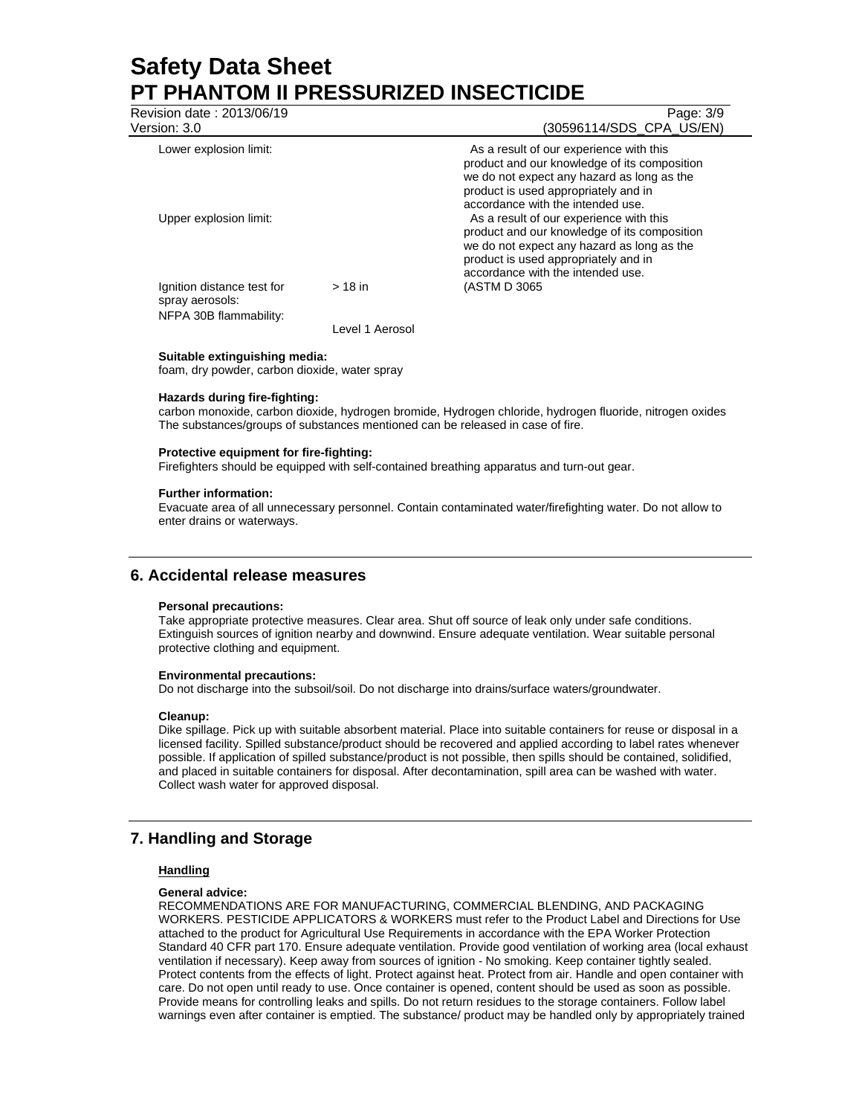| As a result of our experience with this<br>product and our knowledge of its composition<br>we do not expect any hazard as long as the<br>product is used appropriately and in<br>accordance with the intended use.<br>As a result of our experience with this<br>product and our knowledge of its composition |
|---------------------------------------------------------------------------------------------------------------------------------------------------------------------------------------------------------------------------------------------------------------------------------------------------------------|
| we do not expect any hazard as long as the<br>product is used appropriately and in<br>accordance with the intended use.<br>(ASTM D 3065)                                                                                                                                                                      |
|                                                                                                                                                                                                                                                                                                               |

**Suitable extinguishing media:**  foam, dry powder, carbon dioxide, water spray

#### **Hazards during fire-fighting:**

carbon monoxide, carbon dioxide, hydrogen bromide, Hydrogen chloride, hydrogen fluoride, nitrogen oxides The substances/groups of substances mentioned can be released in case of fire.

#### **Protective equipment for fire-fighting:**

Firefighters should be equipped with self-contained breathing apparatus and turn-out gear.

#### **Further information:**

Evacuate area of all unnecessary personnel. Contain contaminated water/firefighting water. Do not allow to enter drains or waterways.

# **6. Accidental release measures**

#### **Personal precautions:**

Take appropriate protective measures. Clear area. Shut off source of leak only under safe conditions. Extinguish sources of ignition nearby and downwind. Ensure adequate ventilation. Wear suitable personal protective clothing and equipment.

#### **Environmental precautions:**

Do not discharge into the subsoil/soil. Do not discharge into drains/surface waters/groundwater.

#### **Cleanup:**

Dike spillage. Pick up with suitable absorbent material. Place into suitable containers for reuse or disposal in a licensed facility. Spilled substance/product should be recovered and applied according to label rates whenever possible. If application of spilled substance/product is not possible, then spills should be contained, solidified, and placed in suitable containers for disposal. After decontamination, spill area can be washed with water. Collect wash water for approved disposal.

# **7. Handling and Storage**

## **Handling**

#### **General advice:**

RECOMMENDATIONS ARE FOR MANUFACTURING, COMMERCIAL BLENDING, AND PACKAGING WORKERS. PESTICIDE APPLICATORS & WORKERS must refer to the Product Label and Directions for Use attached to the product for Agricultural Use Requirements in accordance with the EPA Worker Protection Standard 40 CFR part 170. Ensure adequate ventilation. Provide good ventilation of working area (local exhaust ventilation if necessary). Keep away from sources of ignition - No smoking. Keep container tightly sealed. Protect contents from the effects of light. Protect against heat. Protect from air. Handle and open container with care. Do not open until ready to use. Once container is opened, content should be used as soon as possible. Provide means for controlling leaks and spills. Do not return residues to the storage containers. Follow label warnings even after container is emptied. The substance/ product may be handled only by appropriately trained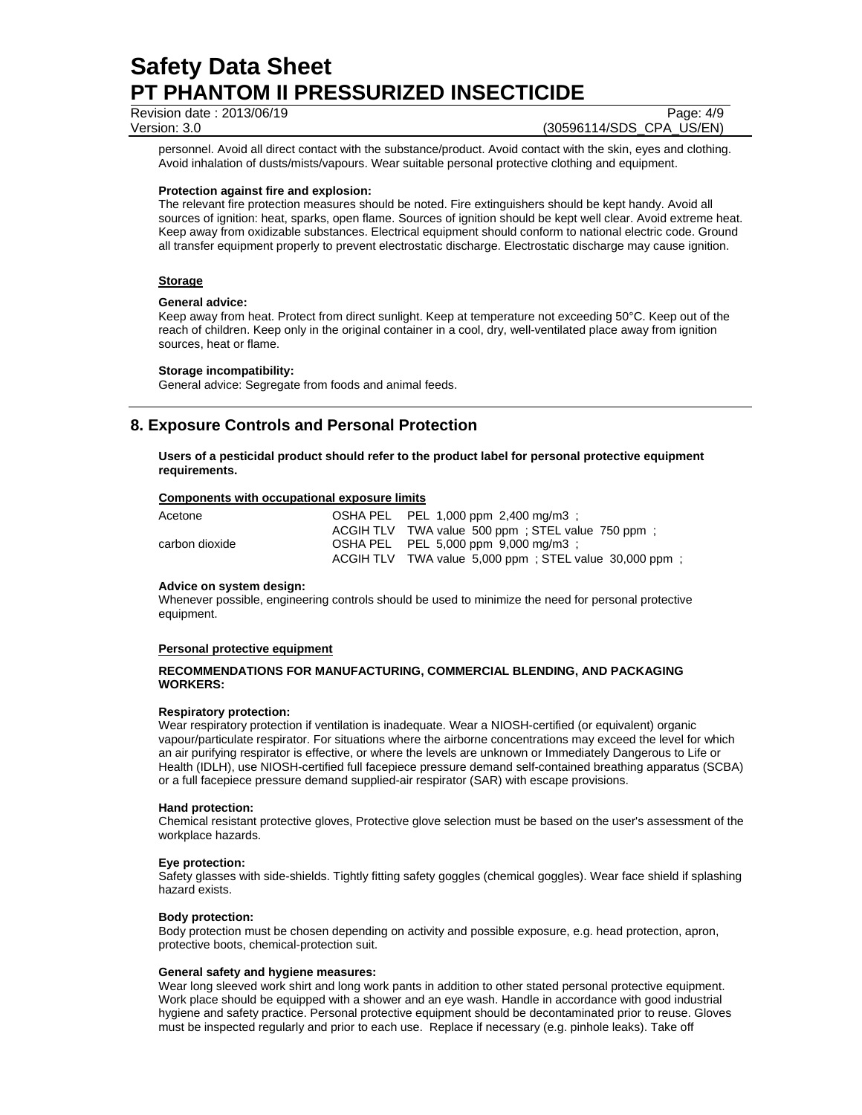Revision date : 2013/06/19 Page: 4/9

Version: 3.0 (30596114/SDS\_CPA\_US/EN)

personnel. Avoid all direct contact with the substance/product. Avoid contact with the skin, eyes and clothing. Avoid inhalation of dusts/mists/vapours. Wear suitable personal protective clothing and equipment.

## **Protection against fire and explosion:**

The relevant fire protection measures should be noted. Fire extinguishers should be kept handy. Avoid all sources of ignition: heat, sparks, open flame. Sources of ignition should be kept well clear. Avoid extreme heat. Keep away from oxidizable substances. Electrical equipment should conform to national electric code. Ground all transfer equipment properly to prevent electrostatic discharge. Electrostatic discharge may cause ignition.

## **Storage**

#### **General advice:**

Keep away from heat. Protect from direct sunlight. Keep at temperature not exceeding 50°C. Keep out of the reach of children. Keep only in the original container in a cool, dry, well-ventilated place away from ignition sources, heat or flame.

#### **Storage incompatibility:**

General advice: Segregate from foods and animal feeds.

# **8. Exposure Controls and Personal Protection**

**Users of a pesticidal product should refer to the product label for personal protective equipment requirements.** 

#### **Components with occupational exposure limits**

| Acetone        | OSHA PEL PEL 1,000 ppm 2,400 mg/m3 :                    |
|----------------|---------------------------------------------------------|
|                | ACGIH TLV TWA value 500 ppm : STEL value 750 ppm :      |
| carbon dioxide | OSHA PEL PEL 5,000 ppm 9,000 mg/m3 :                    |
|                | ACGIH TLV TWA value 5,000 ppm : STEL value 30,000 ppm : |

#### **Advice on system design:**

Whenever possible, engineering controls should be used to minimize the need for personal protective equipment.

## **Personal protective equipment**

## **RECOMMENDATIONS FOR MANUFACTURING, COMMERCIAL BLENDING, AND PACKAGING WORKERS:**

#### **Respiratory protection:**

Wear respiratory protection if ventilation is inadequate. Wear a NIOSH-certified (or equivalent) organic vapour/particulate respirator. For situations where the airborne concentrations may exceed the level for which an air purifying respirator is effective, or where the levels are unknown or Immediately Dangerous to Life or Health (IDLH), use NIOSH-certified full facepiece pressure demand self-contained breathing apparatus (SCBA) or a full facepiece pressure demand supplied-air respirator (SAR) with escape provisions.

#### **Hand protection:**

Chemical resistant protective gloves, Protective glove selection must be based on the user's assessment of the workplace hazards.

## **Eye protection:**

Safety glasses with side-shields. Tightly fitting safety goggles (chemical goggles). Wear face shield if splashing hazard exists.

## **Body protection:**

Body protection must be chosen depending on activity and possible exposure, e.g. head protection, apron, protective boots, chemical-protection suit.

#### **General safety and hygiene measures:**

Wear long sleeved work shirt and long work pants in addition to other stated personal protective equipment. Work place should be equipped with a shower and an eye wash. Handle in accordance with good industrial hygiene and safety practice. Personal protective equipment should be decontaminated prior to reuse. Gloves must be inspected regularly and prior to each use. Replace if necessary (e.g. pinhole leaks). Take off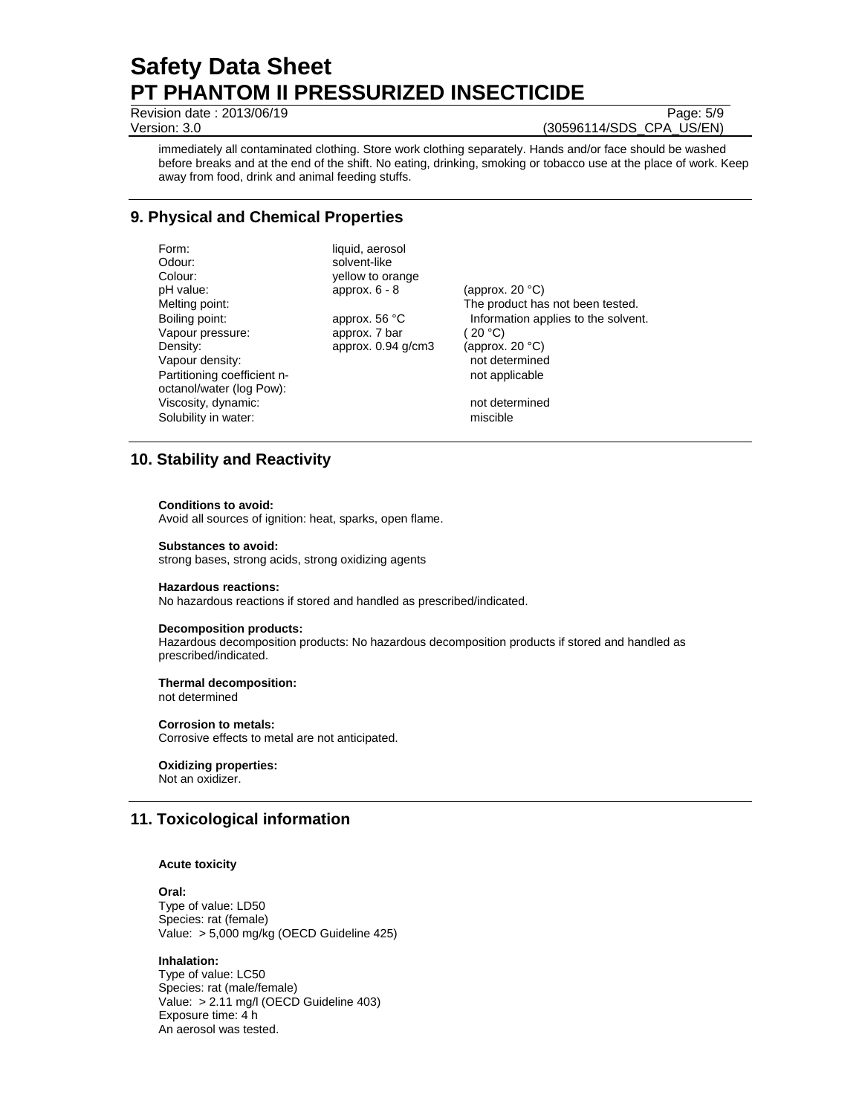Revision date : 2013/06/19 Page: 5/9

Version: 3.0 (30596114/SDS\_CPA\_US/EN)

immediately all contaminated clothing. Store work clothing separately. Hands and/or face should be washed before breaks and at the end of the shift. No eating, drinking, smoking or tobacco use at the place of work. Keep away from food, drink and animal feeding stuffs.

# **9. Physical and Chemical Properties**

Form: liquid, aerosol Odour: solvent-like<br>Colour: solvent-like<br>vellow to or Colour: yellow to orange<br>
pH value:  $approx. 6 - 8$ Melting point: The product has not been tested. Boiling point: approx. 56 °C Information applies to the solvent.<br>Vapour pressure: approx. 7 bar (20 °C) Vapour pressure: <br>
Density: <br>
Density: <br>
20 °C)<br>
20 °C)<br>
20 °C) approx.  $0.94$  g/cm3 Vapour density:  $\blacksquare$ Partitioning coefficient noctanol/water (log Pow): Viscosity, dynamic:  $\overline{\phantom{a}}$  and  $\overline{\phantom{a}}$  and  $\overline{\phantom{a}}$  and determined Solubility in water: miscible miscible

approx.  $6 - 8$  (approx. 20 °C) not applicable

# **10. Stability and Reactivity**

#### **Conditions to avoid:**

Avoid all sources of ignition: heat, sparks, open flame.

#### **Substances to avoid:**

strong bases, strong acids, strong oxidizing agents

#### **Hazardous reactions:**

No hazardous reactions if stored and handled as prescribed/indicated.

#### **Decomposition products:**

Hazardous decomposition products: No hazardous decomposition products if stored and handled as prescribed/indicated.

# **Thermal decomposition:**

not determined

## **Corrosion to metals:**

Corrosive effects to metal are not anticipated.

**Oxidizing properties:**  Not an oxidizer.

# **11. Toxicological information**

## **Acute toxicity**

**Oral:** Type of value: LD50 Species: rat (female) Value: > 5,000 mg/kg (OECD Guideline 425)

## **Inhalation:**

Type of value: LC50 Species: rat (male/female) Value: > 2.11 mg/l (OECD Guideline 403) Exposure time: 4 h An aerosol was tested.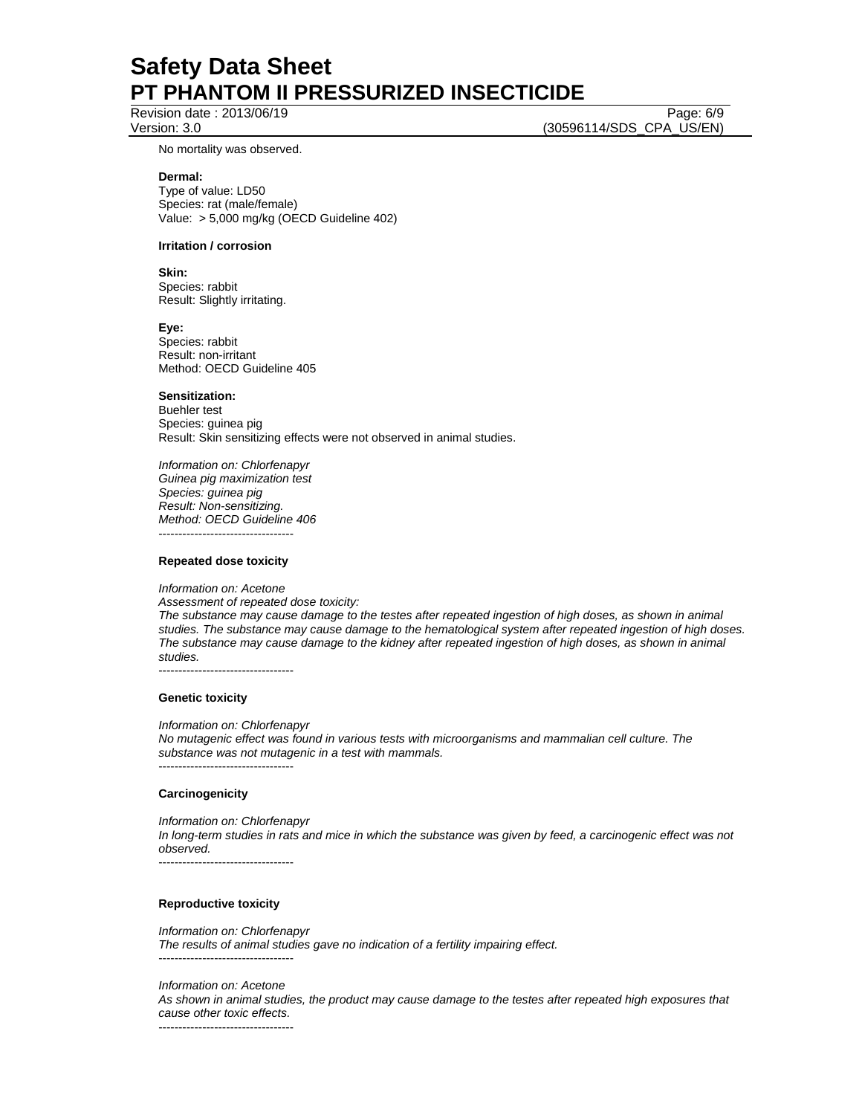Revision date : 2013/06/19 Page: 6/9

Version: 3.0 (30596114/SDS\_CPA\_US/EN)

No mortality was observed.

#### **Dermal:**

Type of value: LD50 Species: rat (male/female) Value: > 5,000 mg/kg (OECD Guideline 402)

## **Irritation / corrosion**

**Skin:** 

Species: rabbit Result: Slightly irritating.

**Eye:**

Species: rabbit Result: non-irritant Method: OECD Guideline 405

#### **Sensitization:**

Buehler test Species: guinea pig Result: Skin sensitizing effects were not observed in animal studies.

*Information on: Chlorfenapyr Guinea pig maximization test Species: guinea pig Result: Non-sensitizing. Method: OECD Guideline 406*  ----------------------------------

#### **Repeated dose toxicity**

*Information on: Acetone Assessment of repeated dose toxicity:* 

*The substance may cause damage to the testes after repeated ingestion of high doses, as shown in animal studies. The substance may cause damage to the hematological system after repeated ingestion of high doses. The substance may cause damage to the kidney after repeated ingestion of high doses, as shown in animal studies.* 

----------------------------------

#### **Genetic toxicity**

*Information on: Chlorfenapyr No mutagenic effect was found in various tests with microorganisms and mammalian cell culture. The substance was not mutagenic in a test with mammals.*  ----------------------------------

#### **Carcinogenicity**

*Information on: Chlorfenapyr In long-term studies in rats and mice in which the substance was given by feed, a carcinogenic effect was not observed.*  ----------------------------------

## **Reproductive toxicity**

*Information on: Chlorfenapyr The results of animal studies gave no indication of a fertility impairing effect.*  ----------------------------------

*Information on: Acetone* 

*As shown in animal studies, the product may cause damage to the testes after repeated high exposures that cause other toxic effects.* 

----------------------------------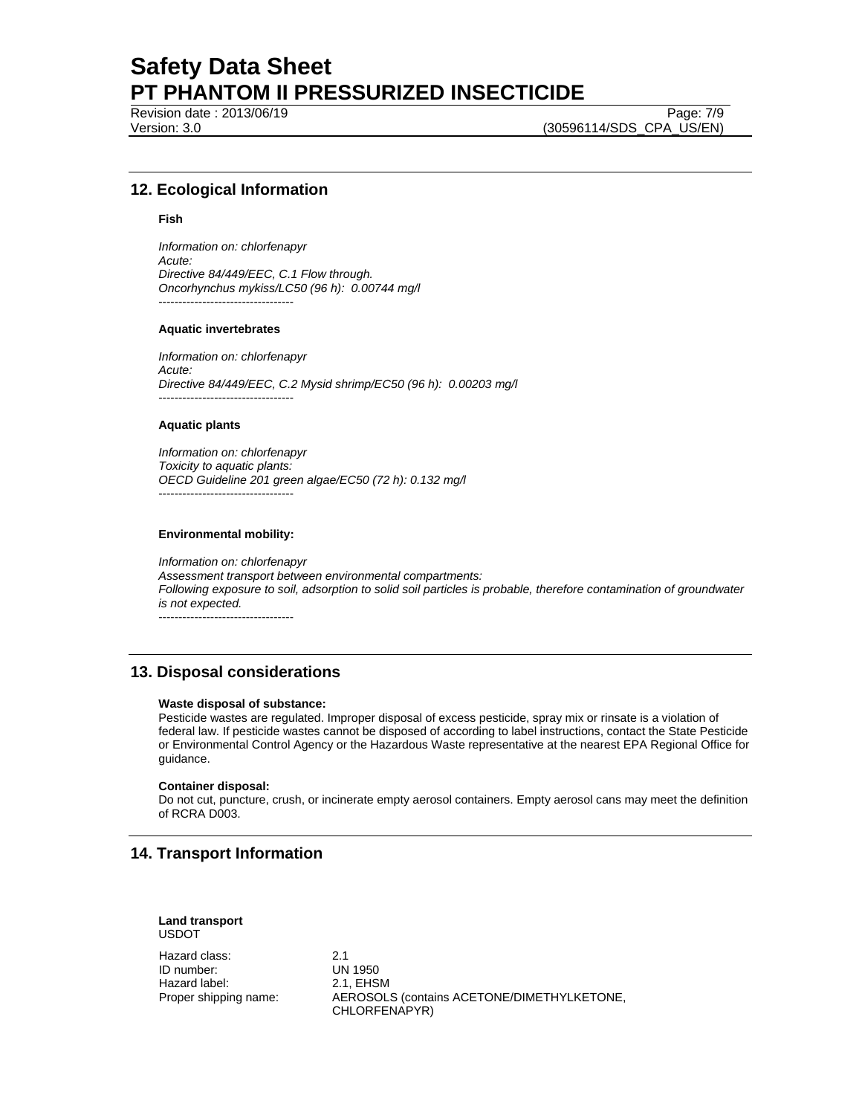Revision date : 2013/06/19 Page: 7/9

Version: 3.0 (30596114/SDS\_CPA\_US/EN)

# **12. Ecological Information**

#### **Fish**

*Information on: chlorfenapyr Acute: Directive 84/449/EEC, C.1 Flow through. Oncorhynchus mykiss/LC50 (96 h): 0.00744 mg/l*  ----------------------------------

#### **Aquatic invertebrates**

*Information on: chlorfenapyr Acute: Directive 84/449/EEC, C.2 Mysid shrimp/EC50 (96 h): 0.00203 mg/l*  ----------------------------------

## **Aquatic plants**

*Information on: chlorfenapyr Toxicity to aquatic plants: OECD Guideline 201 green algae/EC50 (72 h): 0.132 mg/l*  ----------------------------------

#### **Environmental mobility:**

*Information on: chlorfenapyr Assessment transport between environmental compartments: Following exposure to soil, adsorption to solid soil particles is probable, therefore contamination of groundwater is not expected.*  ----------------------------------

# **13. Disposal considerations**

#### **Waste disposal of substance:**

Pesticide wastes are regulated. Improper disposal of excess pesticide, spray mix or rinsate is a violation of federal law. If pesticide wastes cannot be disposed of according to label instructions, contact the State Pesticide or Environmental Control Agency or the Hazardous Waste representative at the nearest EPA Regional Office for guidance.

#### **Container disposal:**

Do not cut, puncture, crush, or incinerate empty aerosol containers. Empty aerosol cans may meet the definition of RCRA D003.

# **14. Transport Information**

**Land transport**  USDOT

Hazard class: 2.1 ID number: UN 1950 Hazard label: 2.1, EHSM<br>Proper shipping name: AEROSOL

AEROSOLS (contains ACETONE/DIMETHYLKETONE, CHLORFENAPYR)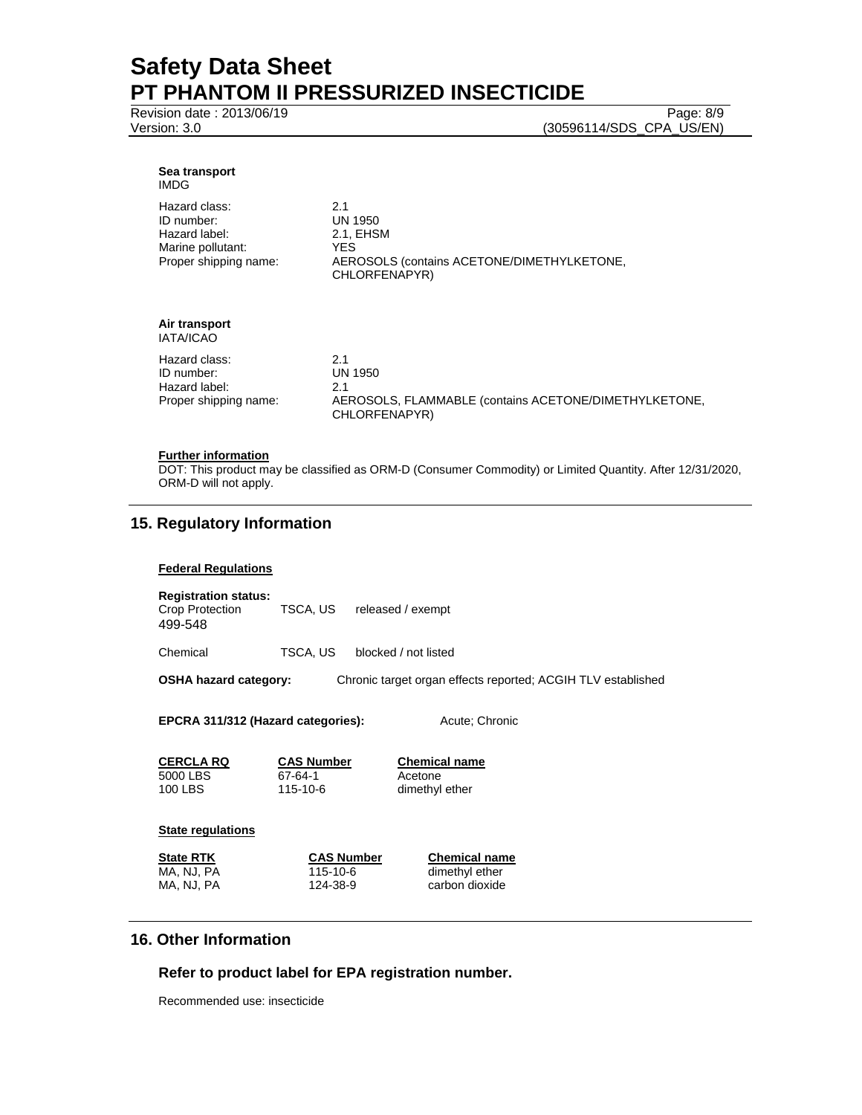Revision date : 2013/06/19 Page: 8/9

Version: 3.0 (30596114/SDS\_CPA\_US/EN)

#### **Sea transport**  IMDG

| Hazard class:<br>ID number:<br>Hazard label:<br>Marine pollutant:<br>Proper shipping name: | 21<br>UN 1950<br>2.1. EHSM<br>YFS.<br>AEROSOLS (contains ACETONE/DIMETHYLKETONE,<br>CHLORFENAPYR) |
|--------------------------------------------------------------------------------------------|---------------------------------------------------------------------------------------------------|
|--------------------------------------------------------------------------------------------|---------------------------------------------------------------------------------------------------|

#### **Air transport**  IATA/ICAO

| טחשומו                |                                                                        |
|-----------------------|------------------------------------------------------------------------|
| Hazard class:         | 2.1                                                                    |
| ID number:            | UN 1950                                                                |
| Hazard label:         | 21                                                                     |
| Proper shipping name: | AEROSOLS, FLAMMABLE (contains ACETONE/DIMETHYLKETONE,<br>CHLORFENAPYR) |

## **Further information**

DOT: This product may be classified as ORM-D (Consumer Commodity) or Limited Quantity. After 12/31/2020, ORM-D will not apply.

# **15. Regulatory Information**

## **Federal Regulations**

| <b>Registration status:</b><br>Crop Protection<br>499-548 | TSCA, US | released / exempt                                            |
|-----------------------------------------------------------|----------|--------------------------------------------------------------|
| Chemical                                                  | TSCA, US | blocked / not listed                                         |
| <b>OSHA hazard category:</b>                              |          | Chronic target organ effects reported: ACGIH TLV established |
|                                                           |          |                                                              |

EPCRA 311/312 (Hazard categories): Acute; Chronic

**CERCLA RQ CAS Number Chemical name** 5000 LBS 67-64-1 Acetone

dimethyl ether

## **State regulations**

**State RTK CAS Number Chemical name** MA, NJ, PA 115-10-6 dimethyl ether<br>MA, NJ, PA 124-38-9 carbon dioxide carbon dioxide

# **16. Other Information**

# **Refer to product label for EPA registration number.**

Recommended use: insecticide